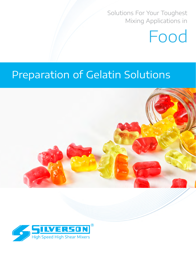Solutions For Your Toughest Mixing Applications in

# Food

# Preparation of Gelatin Solutions



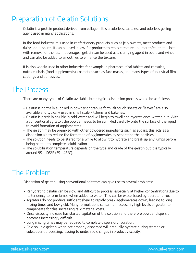# Preparation of Gelatin Solutions

Gelatin is a protein product derived from collagen. It is a colorless, tasteless and odorless gelling agent used in many applications.

In the food industry, it is used in confectionery products such as jelly sweets, meat products and dairy and desserts. It can be used in low-fat products to replace texture and mouthfeel that is lost with removal of the fat. In beverages, gelatin can be used as a clarifying agent in beers and wines and can also be added to smoothies to enhance the texture.

It is also widely used in other industries for example in pharmaceutical tablets and capsules, nutraceuticals (food supplements), cosmetics such as face masks, and many types of industrial films, coatings and adhesives.

## The Process

There are many types of Gelatin available, but a typical dispersion process would be as follows:

- Gelatin is normally supplied in powder or granule form, although sheets or "leaves" are also available and typically used in small scale kitchens and bakeries.
- Gelatin is partially soluble in cold water and will begin to swell and hydrate once wetted out. With a conventional agitator, the powder needs to be sprinkled carefully onto the surface of the liquid to avoid formation of agglomerates.
- The gelatin may be premixed with other powdered ingredients such as sugars, this acts as a dispersion aid to reduce the formation of agglomerates by separating the particles.
- The solution needs to be stirred for a while to allow it to hydrate and break up any lumps before being heated to complete solubilization.
- The solubilization temperature depends on the type and grade of the gelatin but it is typically around 95 – 105°F (35 – 45°C).

# The Problem

Dispersion of gelatin using conventional agitators can give rise to several problems:

- Rehydrating gelatin can be slow and difficult to process, especially at higher concentrations due to its tendency to form lumps when added to water. This can be exacerbated by operator error.
- Agitators do not produce sufficient shear to rapidly break agglomerates down, leading to long mixing times and low yield. Many formulations contain unnecessarily high levels of gelatin to compensate for this, increasing raw material costs.
- Once viscosity increase has started, agitation of the solution and therefore powder dispersion becomes increasingly difficult.
- Long mixing times may be required to complete dispersion/hydration.
- Cold soluble gelatin when not properly dispersed will gradually hydrate during storage or subsequent processing, leading to undesired changes in product viscosity.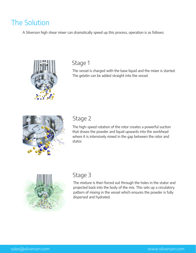# The Solution

A Silverson high shear mixer can dramatically speed up this process, operation is as follows:



## Stage 1

The vessel is charged with the base liquid and the mixer is started. The gelatin can be added straight into the vessel.



## Stage 2

The high-speed rotation of the rotor creates a powerful suction that draws the powder and liquid upwards into the workhead where it is intensively mixed in the gap between the rotor and stator.



## Stage 3

The mixture is then forced out through the holes in the stator and projected back into the body of the mix. This sets up a circulatory pattern of mixing in the vessel which ensures the powder is fully dispersed and hydrated.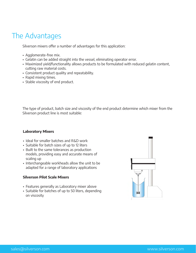# The Advantages

Silverson mixers offer a number of advantages for this application:

- Agglomerate-free mix.
- Gelatin can be added straight into the vessel, eliminating operator error.
- Maximized yield/functionality allows products to be formulated with reduced gelatin content, cutting raw material costs.
- Consistent product quality and repeatability.
- Rapid mixing times.
- Stable viscosity of end product.

The type of product, batch size and viscosity of the end product determine which mixer from the Silverson product line is most suitable:

## **Laboratory Mixers**

- Ideal for smaller batches and R&D work
- Suitable for batch sizes of up to 12 liters
- Built to the same tolerances as production models, providing easy and accurate means of scaling up
- Interchangeable workheads allow the unit to be adapted for a range of laboratory applications

## **Silverson Pilot Scale Mixers**

- Features generally as Laboratory mixer above
- Suitable for batches of up to 50 liters, depending on viscosity